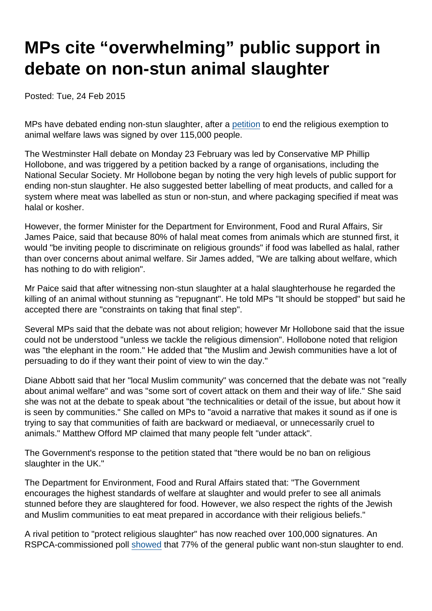## MPs cite "overwhelming" public support in debate on non-stun animal slaughter

Posted: Tue, 24 Feb 2015

MPs have debated ending non-stun slaughter, after a [petition](http://epetitions.direct.gov.uk/petitions/64331) to end the religious exemption to animal welfare laws was signed by over 115,000 people.

The Westminster Hall debate on Monday 23 February was led by Conservative MP Phillip Hollobone, and was triggered by a petition backed by a range of organisations, including the National Secular Society. Mr Hollobone began by noting the very high levels of public support for ending non-stun slaughter. He also suggested better labelling of meat products, and called for a system where meat was labelled as stun or non-stun, and where packaging specified if meat was halal or kosher.

However, the former Minister for the Department for Environment, Food and Rural Affairs, Sir James Paice, said that because 80% of halal meat comes from animals which are stunned first, it would "be inviting people to discriminate on religious grounds" if food was labelled as halal, rather than over concerns about animal welfare. Sir James added, "We are talking about welfare, which has nothing to do with religion".

Mr Paice said that after witnessing non-stun slaughter at a halal slaughterhouse he regarded the killing of an animal without stunning as "repugnant". He told MPs "It should be stopped" but said he accepted there are "constraints on taking that final step".

Several MPs said that the debate was not about religion; however Mr Hollobone said that the issue could not be understood "unless we tackle the religious dimension". Hollobone noted that religion was "the elephant in the room." He added that "the Muslim and Jewish communities have a lot of persuading to do if they want their point of view to win the day."

Diane Abbott said that her "local Muslim community" was concerned that the debate was not "really about animal welfare" and was "some sort of covert attack on them and their way of life." She said she was not at the debate to speak about "the technicalities or detail of the issue, but about how it is seen by communities." She called on MPs to "avoid a narrative that makes it sound as if one is trying to say that communities of faith are backward or mediaeval, or unnecessarily cruel to animals." Matthew Offord MP claimed that many people felt "under attack".

The Government's response to the petition stated that "there would be no ban on religious slaughter in the UK."

The Department for Environment, Food and Rural Affairs stated that: "The Government encourages the highest standards of welfare at slaughter and would prefer to see all animals stunned before they are slaughtered for food. However, we also respect the rights of the Jewish and Muslim communities to eat meat prepared in accordance with their religious beliefs."

A rival petition to "protect religious slaughter" has now reached over 100,000 signatures. An RSPCA-commissioned poll [showed](http://www.politics.co.uk/opinion-formers/rspca-royal-society-for-the-prevention-of-cruelty-to-animals/article/almost-80-per-cent-of-uk-wants-an-end-to-non-stun-slaughter) that 77% of the general public want non-stun slaughter to end.